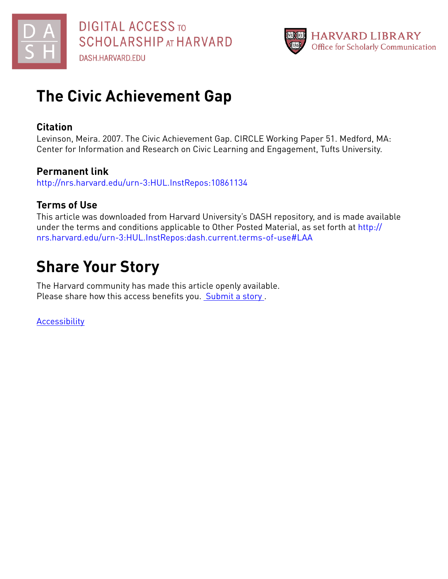



## **The Civic Achievement Gap**

## **Citation**

Levinson, Meira. 2007. The Civic Achievement Gap. CIRCLE Working Paper 51. Medford, MA: Center for Information and Research on Civic Learning and Engagement, Tufts University.

## **Permanent link**

<http://nrs.harvard.edu/urn-3:HUL.InstRepos:10861134>

## **Terms of Use**

This article was downloaded from Harvard University's DASH repository, and is made available under the terms and conditions applicable to Other Posted Material, as set forth at [http://](http://nrs.harvard.edu/urn-3:HUL.InstRepos:dash.current.terms-of-use#LAA) [nrs.harvard.edu/urn-3:HUL.InstRepos:dash.current.terms-of-use#LAA](http://nrs.harvard.edu/urn-3:HUL.InstRepos:dash.current.terms-of-use#LAA)

# **Share Your Story**

The Harvard community has made this article openly available. Please share how this access benefits you. [Submit](http://osc.hul.harvard.edu/dash/open-access-feedback?handle=&title=The%20Civic%20Achievement%20Gap&community=1/3345927&collection=1/3345928&owningCollection1/3345928&harvardAuthors=64d669d579edb5811c82733884a812e8&department) a story .

**[Accessibility](https://dash.harvard.edu/pages/accessibility)**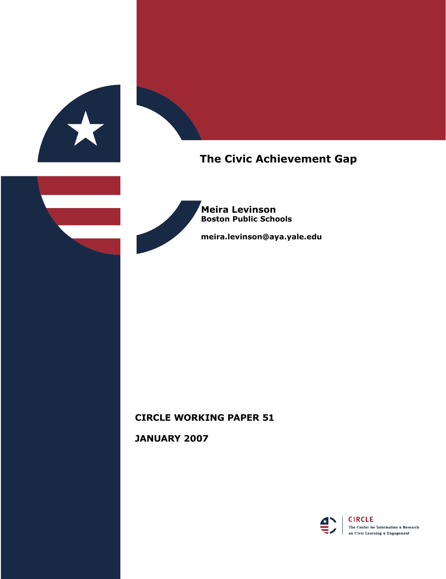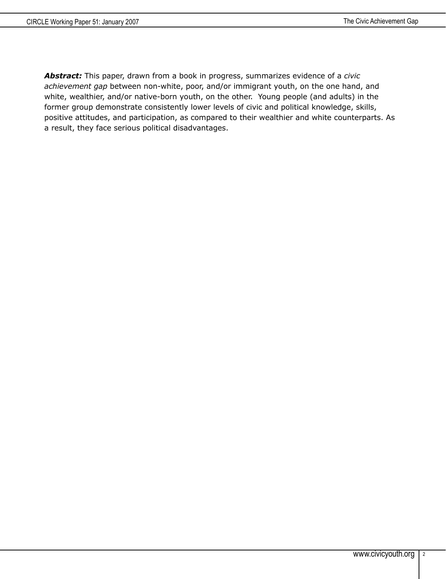*Abstract:* This paper, drawn from a book in progress, summarizes evidence of a *civic achievement gap* between non-white, poor, and/or immigrant youth, on the one hand, and white, wealthier, and/or native-born youth, on the other. Young people (and adults) in the former group demonstrate consistently lower levels of civic and political knowledge, skills, positive attitudes, and participation, as compared to their wealthier and white counterparts. As a result, they face serious political disadvantages.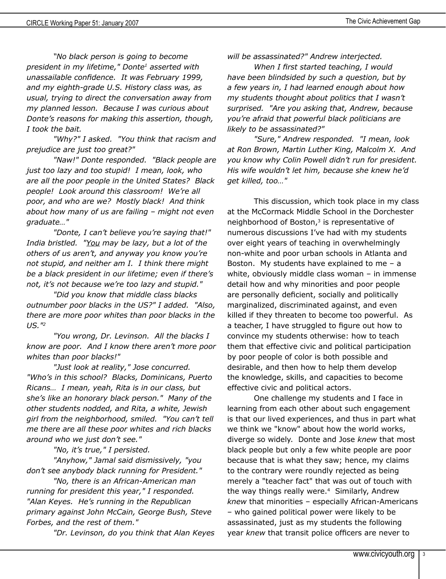*"No black person is going to become president in my lifetime," Donte1 asserted with unassailable confidence. It was February 1999, and my eighth-grade U.S. History class was, as usual, trying to direct the conversation away from my planned lesson. Because I was curious about Donte's reasons for making this assertion, though, I took the bait.*

*"Why?" I asked. "You think that racism and prejudice are just too great?"*

*"Naw!" Donte responded. "Black people are just too lazy and too stupid! I mean, look, who are all the poor people in the United States? Black people! Look around this classroom! We're all poor, and who are we? Mostly black! And think about how many of us are failing – might not even graduate…"*

*"Donte, I can't believe you're saying that!" India bristled. "You may be lazy, but a lot of the others of us aren't, and anyway you know you're not stupid, and neither am I. I think there might be a black president in our lifetime; even if there's not, it's not because we're too lazy and stupid."*

*"Did you know that middle class blacks outnumber poor blacks in the US?" I added. "Also, there are more poor whites than poor blacks in the US."2*

*"You wrong, Dr. Levinson. All the blacks I know are poor. And I know there aren't more poor whites than poor blacks!"*

*"Just look at reality," Jose concurred. "Who's in this school? Blacks, Dominicans, Puerto Ricans… I mean, yeah, Rita is in our class, but she's like an honorary black person." Many of the other students nodded, and Rita, a white, Jewish girl from the neighborhood, smiled. "You can't tell me there are all these poor whites and rich blacks around who we just don't see."*

*"No, it's true," I persisted.*

*"Anyhow," Jamal said dismissively, "you don't see anybody black running for President."*

*"No, there is an African-American man running for president this year," I responded. "Alan Keyes. He's running in the Republican primary against John McCain, George Bush, Steve Forbes, and the rest of them."*

*"Dr. Levinson, do you think that Alan Keyes* 

*will be assassinated?" Andrew interjected.*

*When I first started teaching, I would have been blindsided by such a question, but by a few years in, I had learned enough about how my students thought about politics that I wasn't surprised. "Are you asking that, Andrew, because you're afraid that powerful black politicians are likely to be assassinated?"*

*"Sure," Andrew responded. "I mean, look at Ron Brown, Martin Luther King, Malcolm X. And you know why Colin Powell didn't run for president. His wife wouldn't let him, because she knew he'd get killed, too…"*

This discussion, which took place in my class at the McCormack Middle School in the Dorchester neighborhood of Boston, $3$  is representative of numerous discussions I've had with my students over eight years of teaching in overwhelmingly non-white and poor urban schools in Atlanta and Boston. My students have explained to me  $-$  a white, obviously middle class woman – in immense detail how and why minorities and poor people are personally deficient, socially and politically marginalized, discriminated against, and even killed if they threaten to become too powerful. As a teacher, I have struggled to figure out how to convince my students otherwise: how to teach them that effective civic and political participation by poor people of color is both possible and desirable, and then how to help them develop the knowledge, skills, and capacities to become effective civic and political actors.

One challenge my students and I face in learning from each other about such engagement is that our lived experiences, and thus in part what we think we "know" about how the world works, diverge so widely. Donte and Jose *knew* that most black people but only a few white people are poor because that is what they saw; hence, my claims to the contrary were roundly rejected as being merely a "teacher fact" that was out of touch with the way things really were. $4$  Similarly, Andrew *knew* that minorities – especially African-Americans – who gained political power were likely to be assassinated, just as my students the following year *knew* that transit police officers are never to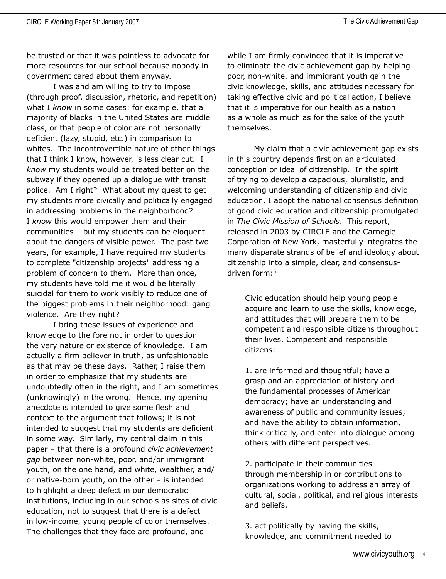be trusted or that it was pointless to advocate for more resources for our school because nobody in government cared about them anyway.

I was and am willing to try to impose (through proof, discussion, rhetoric, and repetition) what I *know* in some cases: for example, that a majority of blacks in the United States are middle class, or that people of color are not personally deficient (lazy, stupid, etc.) in comparison to whites. The incontrovertible nature of other things that I think I know, however, is less clear cut. I *know* my students would be treated better on the subway if they opened up a dialogue with transit police. Am I right? What about my quest to get my students more civically and politically engaged in addressing problems in the neighborhood? I *know* this would empower them and their communities – but my students can be eloquent about the dangers of visible power. The past two years, for example, I have required my students to complete "citizenship projects" addressing a problem of concern to them. More than once, my students have told me it would be literally suicidal for them to work visibly to reduce one of the biggest problems in their neighborhood: gang violence. Are they right?

I bring these issues of experience and knowledge to the fore not in order to question the very nature or existence of knowledge. I am actually a firm believer in truth, as unfashionable as that may be these days. Rather, I raise them in order to emphasize that my students are undoubtedly often in the right, and I am sometimes (unknowingly) in the wrong. Hence, my opening anecdote is intended to give some flesh and context to the argument that follows; it is not intended to suggest that my students are deficient in some way. Similarly, my central claim in this paper – that there is a profound *civic achievement gap* between non-white, poor, and/or immigrant youth, on the one hand, and white, wealthier, and/ or native-born youth, on the other – is intended to highlight a deep defect in our democratic institutions, including in our schools as sites of civic education, not to suggest that there is a defect in low-income, young people of color themselves. The challenges that they face are profound, and

while I am firmly convinced that it is imperative to eliminate the civic achievement gap by helping poor, non-white, and immigrant youth gain the civic knowledge, skills, and attitudes necessary for taking effective civic and political action, I believe that it is imperative for our health as a nation as a whole as much as for the sake of the youth themselves.

My claim that a civic achievement gap exists in this country depends first on an articulated conception or ideal of citizenship. In the spirit of trying to develop a capacious, pluralistic, and welcoming understanding of citizenship and civic education, I adopt the national consensus definition of good civic education and citizenship promulgated in *The Civic Mission of Schools*. This report, released in 2003 by CIRCLE and the Carnegie Corporation of New York, masterfully integrates the many disparate strands of belief and ideology about citizenship into a simple, clear, and consensusdriven form:5

Civic education should help young people acquire and learn to use the skills, knowledge, and attitudes that will prepare them to be competent and responsible citizens throughout their lives. Competent and responsible citizens:

1. are informed and thoughtful; have a grasp and an appreciation of history and the fundamental processes of American democracy; have an understanding and awareness of public and community issues; and have the ability to obtain information, think critically, and enter into dialogue among others with different perspectives.

2. participate in their communities through membership in or contributions to organizations working to address an array of cultural, social, political, and religious interests and beliefs.

3. act politically by having the skills, knowledge, and commitment needed to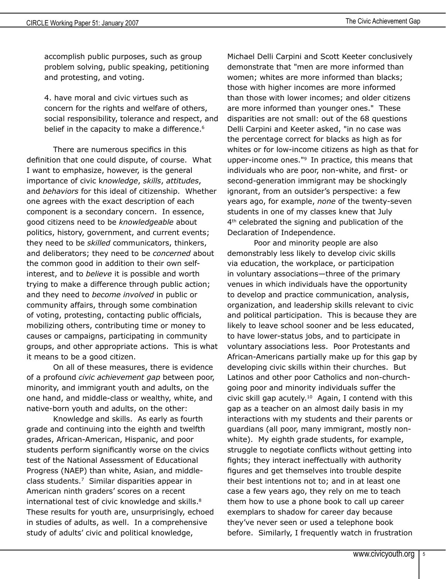accomplish public purposes, such as group problem solving, public speaking, petitioning and protesting, and voting.

4. have moral and civic virtues such as concern for the rights and welfare of others, social responsibility, tolerance and respect, and belief in the capacity to make a difference.<sup>6</sup>

There are numerous specifics in this definition that one could dispute, of course. What I want to emphasize, however, is the general importance of civic k*nowledge*, *skills*, *attitudes*, and *behaviors* for this ideal of citizenship. Whether one agrees with the exact description of each component is a secondary concern. In essence, good citizens need to be *knowledgeable* about politics, history, government, and current events; they need to be *skilled* communicators, thinkers, and deliberators; they need to be *concerned* about the common good in addition to their own selfinterest, and to *believe* it is possible and worth trying to make a difference through public action; and they need to *become involved* in public or community affairs, through some combination of voting, protesting, contacting public officials, mobilizing others, contributing time or money to causes or campaigns, participating in community groups, and other appropriate actions. This is what it means to be a good citizen.

On all of these measures, there is evidence of a profound *civic achievement gap* between poor, minority, and immigrant youth and adults, on the one hand, and middle-class or wealthy, white, and native-born youth and adults, on the other:

Knowledge and skills. As early as fourth grade and continuing into the eighth and twelfth grades, African-American, Hispanic, and poor students perform significantly worse on the civics test of the National Assessment of Educational Progress (NAEP) than white, Asian, and middleclass students.7 Similar disparities appear in American ninth graders' scores on a recent international test of civic knowledge and skills.<sup>8</sup> These results for youth are, unsurprisingly, echoed in studies of adults, as well. In a comprehensive study of adults' civic and political knowledge,

Michael Delli Carpini and Scott Keeter conclusively demonstrate that "men are more informed than women; whites are more informed than blacks; those with higher incomes are more informed than those with lower incomes; and older citizens are more informed than younger ones." These disparities are not small: out of the 68 questions Delli Carpini and Keeter asked, "in no case was the percentage correct for blacks as high as for whites or for low-income citizens as high as that for upper-income ones."9 In practice, this means that individuals who are poor, non-white, and first- or second-generation immigrant may be shockingly ignorant, from an outsider's perspective: a few years ago, for example, *none* of the twenty-seven students in one of my classes knew that July 4<sup>th</sup> celebrated the signing and publication of the Declaration of Independence.

Poor and minority people are also demonstrably less likely to develop civic skills via education, the workplace, or participation in voluntary associations—three of the primary venues in which individuals have the opportunity to develop and practice communication, analysis, organization, and leadership skills relevant to civic and political participation. This is because they are likely to leave school sooner and be less educated, to have lower-status jobs, and to participate in voluntary associations less. Poor Protestants and African-Americans partially make up for this gap by developing civic skills within their churches. But Latinos and other poor Catholics and non-churchgoing poor and minority individuals suffer the civic skill gap acutely.10 Again, I contend with this gap as a teacher on an almost daily basis in my interactions with my students and their parents or guardians (all poor, many immigrant, mostly nonwhite). My eighth grade students, for example, struggle to negotiate conflicts without getting into fights; they interact ineffectually with authority figures and get themselves into trouble despite their best intentions not to; and in at least one case a few years ago, they rely on me to teach them how to use a phone book to call up career exemplars to shadow for career day because they've never seen or used a telephone book before. Similarly, I frequently watch in frustration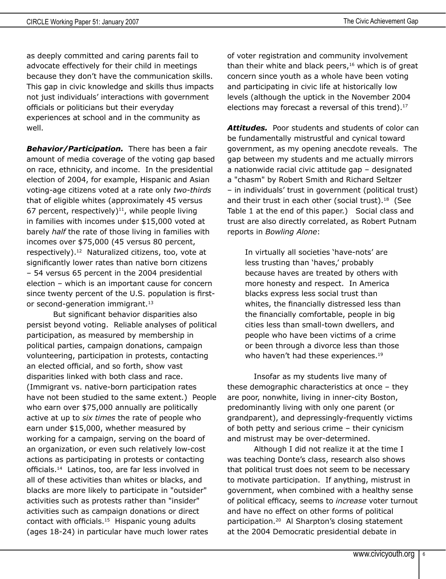as deeply committed and caring parents fail to advocate effectively for their child in meetings because they don't have the communication skills. This gap in civic knowledge and skills thus impacts not just individuals' interactions with government officials or politicians but their everyday experiences at school and in the community as well.

*Behavior/Participation.* There has been a fair amount of media coverage of the voting gap based on race, ethnicity, and income. In the presidential election of 2004, for example, Hispanic and Asian voting-age citizens voted at a rate only *two-thirds* that of eligible whites (approximately 45 versus 67 percent, respectively) $11$ , while people living in families with incomes under \$15,000 voted at barely *half* the rate of those living in families with incomes over \$75,000 (45 versus 80 percent, respectively).12 Naturalized citizens, too, vote at significantly lower rates than native born citizens – 54 versus 65 percent in the 2004 presidential election – which is an important cause for concern since twenty percent of the U.S. population is firstor second-generation immigrant.<sup>13</sup>

But significant behavior disparities also persist beyond voting. Reliable analyses of political participation, as measured by membership in political parties, campaign donations, campaign volunteering, participation in protests, contacting an elected official, and so forth, show vast disparities linked with both class and race. (Immigrant vs. native-born participation rates have not been studied to the same extent.) People who earn over \$75,000 annually are politically active at up to *six times* the rate of people who earn under \$15,000, whether measured by working for a campaign, serving on the board of an organization, or even such relatively low-cost actions as participating in protests or contacting officials.<sup>14</sup> Latinos, too, are far less involved in all of these activities than whites or blacks, and blacks are more likely to participate in "outsider" activities such as protests rather than "insider" activities such as campaign donations or direct contact with officials.<sup>15</sup> Hispanic young adults (ages 18-24) in particular have much lower rates

of voter registration and community involvement than their white and black peers, $16$  which is of great concern since youth as a whole have been voting and participating in civic life at historically low levels (although the uptick in the November 2004 elections may forecast a reversal of this trend).<sup>17</sup>

*Attitudes.* Poor students and students of color can be fundamentally mistrustful and cynical toward government, as my opening anecdote reveals. The gap between my students and me actually mirrors a nationwide racial civic attitude gap – designated a "chasm" by Robert Smith and Richard Seltzer – in individuals' trust in government (political trust) and their trust in each other (social trust).<sup>18</sup> (See Table 1 at the end of this paper.) Social class and trust are also directly correlated, as Robert Putnam reports in *Bowling Alone*:

In virtually all societies 'have-nots' are less trusting than 'haves,' probably because haves are treated by others with more honesty and respect. In America blacks express less social trust than whites, the financially distressed less than the financially comfortable, people in big cities less than small-town dwellers, and people who have been victims of a crime or been through a divorce less than those who haven't had these experiences.<sup>19</sup>

Insofar as my students live many of these demographic characteristics at once – they are poor, nonwhite, living in inner-city Boston, predominantly living with only one parent (or grandparent), and depressingly-frequently victims of both petty and serious crime – their cynicism and mistrust may be over-determined.

Although I did not realize it at the time I was teaching Donte's class, research also shows that political trust does not seem to be necessary to motivate participation. If anything, mistrust in government, when combined with a healthy sense of political efficacy, seems to *increase* voter turnout and have no effect on other forms of political participation.20 Al Sharpton's closing statement at the 2004 Democratic presidential debate in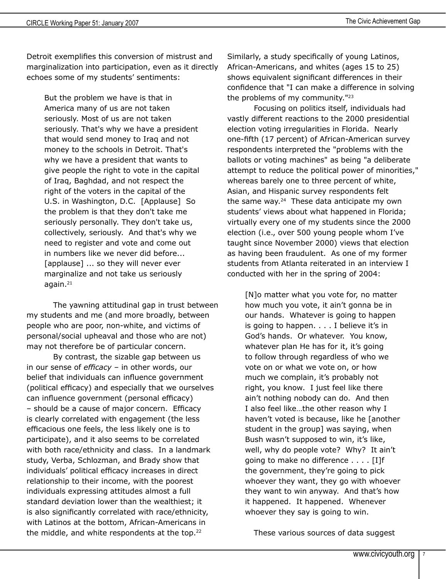Detroit exemplifies this conversion of mistrust and marginalization into participation, even as it directly echoes some of my students' sentiments:

But the problem we have is that in America many of us are not taken seriously. Most of us are not taken seriously. That's why we have a president that would send money to Iraq and not money to the schools in Detroit. That's why we have a president that wants to give people the right to vote in the capital of Iraq, Baghdad, and not respect the right of the voters in the capital of the U.S. in Washington, D.C. [Applause] So the problem is that they don't take me seriously personally. They don't take us, collectively, seriously. And that's why we need to register and vote and come out in numbers like we never did before... [applause] ... so they will never ever marginalize and not take us seriously again. $21$ 

The yawning attitudinal gap in trust between my students and me (and more broadly, between people who are poor, non-white, and victims of personal/social upheaval and those who are not) may not therefore be of particular concern.

By contrast, the sizable gap between us in our sense of *efficacy* – in other words, our belief that individuals can influence government (political efficacy) and especially that we ourselves can influence government (personal efficacy) – should be a cause of major concern. Efficacy is clearly correlated with engagement (the less efficacious one feels, the less likely one is to participate), and it also seems to be correlated with both race/ethnicity and class. In a landmark study, Verba, Schlozman, and Brady show that individuals' political efficacy increases in direct relationship to their income, with the poorest individuals expressing attitudes almost a full standard deviation lower than the wealthiest; it is also significantly correlated with race/ethnicity, with Latinos at the bottom, African-Americans in the middle, and white respondents at the top. $22$ 

Similarly, a study specifically of young Latinos, African-Americans, and whites (ages 15 to 25) shows equivalent significant differences in their confidence that "I can make a difference in solving the problems of my community."<sup>23</sup>

Focusing on politics itself, individuals had vastly different reactions to the 2000 presidential election voting irregularities in Florida. Nearly one-fifth (17 percent) of African-American survey respondents interpreted the "problems with the ballots or voting machines" as being "a deliberate attempt to reduce the political power of minorities," whereas barely one to three percent of white, Asian, and Hispanic survey respondents felt the same way. $24$  These data anticipate my own students' views about what happened in Florida; virtually every one of my students since the 2000 election (i.e., over 500 young people whom I've taught since November 2000) views that election as having been fraudulent. As one of my former students from Atlanta reiterated in an interview I conducted with her in the spring of 2004:

[N]o matter what you vote for, no matter how much you vote, it ain't gonna be in our hands. Whatever is going to happen is going to happen. . . . I believe it's in God's hands. Or whatever. You know, whatever plan He has for it, it's going to follow through regardless of who we vote on or what we vote on, or how much we complain, it's probably not right, you know. I just feel like there ain't nothing nobody can do. And then I also feel like…the other reason why I haven't voted is because, like he [another student in the group] was saying, when Bush wasn't supposed to win, it's like, well, why do people vote? Why? It ain't going to make no difference . . . . [I]f the government, they're going to pick whoever they want, they go with whoever they want to win anyway. And that's how it happened. It happened. Whenever whoever they say is going to win.

These various sources of data suggest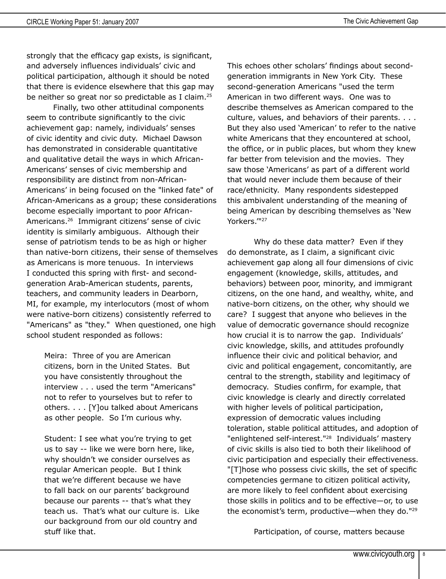strongly that the efficacy gap exists, is significant, and adversely influences individuals' civic and political participation, although it should be noted that there is evidence elsewhere that this gap may be neither so great nor so predictable as I claim.<sup>25</sup>

Finally, two other attitudinal components seem to contribute significantly to the civic achievement gap: namely, individuals' senses of civic identity and civic duty. Michael Dawson has demonstrated in considerable quantitative and qualitative detail the ways in which African-Americans' senses of civic membership and responsibility are distinct from non-African-Americans' in being focused on the "linked fate" of African-Americans as a group; these considerations become especially important to poor African-Americans.26 Immigrant citizens' sense of civic identity is similarly ambiguous. Although their sense of patriotism tends to be as high or higher than native-born citizens, their sense of themselves as Americans is more tenuous. In interviews I conducted this spring with first- and secondgeneration Arab-American students, parents, teachers, and community leaders in Dearborn, MI, for example, my interlocutors (most of whom were native-born citizens) consistently referred to "Americans" as "they." When questioned, one high school student responded as follows:

Meira: Three of you are American citizens, born in the United States. But you have consistently throughout the interview . . . used the term "Americans" not to refer to yourselves but to refer to others. . . . [Y]ou talked about Americans as other people. So I'm curious why.

Student: I see what you're trying to get us to say -- like we were born here, like, why shouldn't we consider ourselves as regular American people. But I think that we're different because we have to fall back on our parents' background because our parents -- that's what they teach us. That's what our culture is. Like our background from our old country and stuff like that.

This echoes other scholars' findings about secondgeneration immigrants in New York City. These second-generation Americans "used the term American in two different ways. One was to describe themselves as American compared to the culture, values, and behaviors of their parents. . . . But they also used 'American' to refer to the native white Americans that they encountered at school, the office, or in public places, but whom they knew far better from television and the movies. They saw those 'Americans' as part of a different world that would never include them because of their race/ethnicity. Many respondents sidestepped this ambivalent understanding of the meaning of being American by describing themselves as 'New Yorkers."<sup>127</sup>

Why do these data matter? Even if they do demonstrate, as I claim, a significant civic achievement gap along all four dimensions of civic engagement (knowledge, skills, attitudes, and behaviors) between poor, minority, and immigrant citizens, on the one hand, and wealthy, white, and native-born citizens, on the other, why should we care? I suggest that anyone who believes in the value of democratic governance should recognize how crucial it is to narrow the gap. Individuals' civic knowledge, skills, and attitudes profoundly influence their civic and political behavior, and civic and political engagement, concomitantly, are central to the strength, stability and legitimacy of democracy. Studies confirm, for example, that civic knowledge is clearly and directly correlated with higher levels of political participation, expression of democratic values including toleration, stable political attitudes, and adoption of "enlightened self-interest."28 Individuals' mastery of civic skills is also tied to both their likelihood of civic participation and especially their effectiveness. "[T]hose who possess civic skills, the set of specific competencies germane to citizen political activity, are more likely to feel confident about exercising those skills in politics and to be effective—or, to use the economist's term, productive—when they do."29

Participation, of course, matters because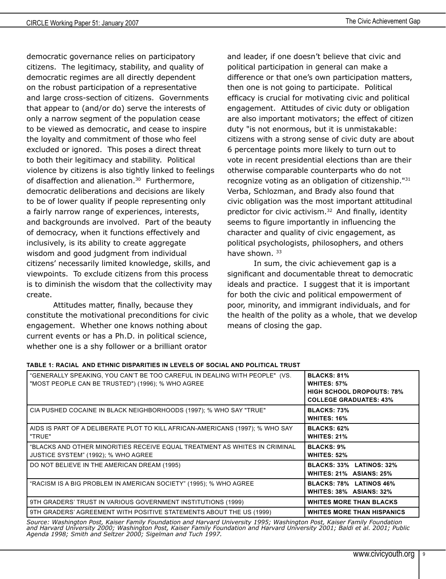democratic governance relies on participatory citizens. The legitimacy, stability, and quality of democratic regimes are all directly dependent on the robust participation of a representative and large cross-section of citizens. Governments that appear to (and/or do) serve the interests of only a narrow segment of the population cease to be viewed as democratic, and cease to inspire the loyalty and commitment of those who feel excluded or ignored. This poses a direct threat to both their legitimacy and stability. Political violence by citizens is also tightly linked to feelings of disaffection and alienation.<sup>30</sup> Furthermore, democratic deliberations and decisions are likely to be of lower quality if people representing only a fairly narrow range of experiences, interests, and backgrounds are involved. Part of the beauty of democracy, when it functions effectively and inclusively, is its ability to create aggregate wisdom and good judgment from individual citizens' necessarily limited knowledge, skills, and viewpoints. To exclude citizens from this process is to diminish the wisdom that the collectivity may create.

Attitudes matter, finally, because they constitute the motivational preconditions for civic engagement. Whether one knows nothing about current events or has a Ph.D. in political science, whether one is a shy follower or a brilliant orator

and leader, if one doesn't believe that civic and political participation in general can make a difference or that one's own participation matters, then one is not going to participate. Political efficacy is crucial for motivating civic and political engagement. Attitudes of civic duty or obligation are also important motivators; the effect of citizen duty "is not enormous, but it is unmistakable: citizens with a strong sense of civic duty are about 6 percentage points more likely to turn out to vote in recent presidential elections than are their otherwise comparable counterparts who do not recognize voting as an obligation of citizenship."31 Verba, Schlozman, and Brady also found that civic obligation was the most important attitudinal predictor for civic activism.<sup>32</sup> And finally, identity seems to figure importantly in influencing the character and quality of civic engagement, as political psychologists, philosophers, and others have shown. 33

In sum, the civic achievement gap is a significant and documentable threat to democratic ideals and practice. I suggest that it is important for both the civic and political empowerment of poor, minority, and immigrant individuals, and for the health of the polity as a whole, that we develop means of closing the gap.

| <b>BLACKS: 81%</b><br><b>WHITES: 57%</b><br><b>HIGH SCHOOL DROPOUTS: 78%</b><br><b>COLLEGE GRADUATES: 43%</b> |
|---------------------------------------------------------------------------------------------------------------|
| <b>BLACKS: 73%</b><br><b>WHITES: 16%</b>                                                                      |
| <b>BLACKS: 62%</b><br><b>WHITES: 21%</b>                                                                      |
| <b>BLACKS: 9%</b><br><b>WHITES: 52%</b>                                                                       |
| BLACKS: 33% LATINOS: 32%<br>WHITES: 21% ASIANS: 25%                                                           |
| BLACKS: 78% LATINOS 46%<br>WHITES: 38% ASIANS: 32%                                                            |
| <b>WHITES MORE THAN BLACKS</b>                                                                                |
| <b>WHITES MORE THAN HISPANICS</b>                                                                             |
|                                                                                                               |

#### **TABLE 1: RACIAL AND ETHNIC DISPARITIES IN LEVELS OF SOCIAL AND POLITICAL TRUST**

*Source: Washington Post, Kaiser Family Foundation and Harvard University 1995; Washington Post, Kaiser Family Foundation and Harvard University 2000; Washington Post, Kaiser Family Foundation and Harvard University 2001; Baldi et al. 2001; Public Agenda 1998; Smith and Seltzer 2000; Sigelman and Tuch 1997.*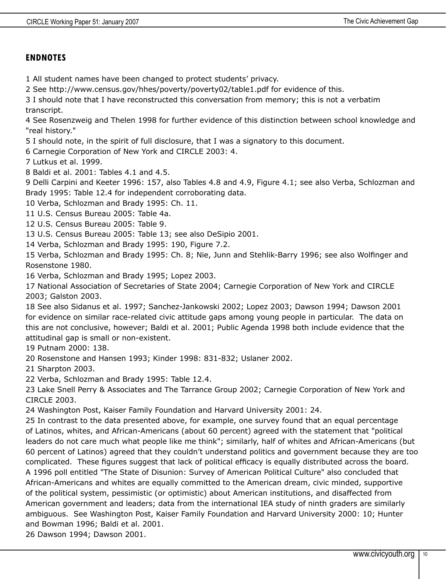#### **ENDNOTES**

1 All student names have been changed to protect students' privacy.

2 See http://www.census.gov/hhes/poverty/poverty02/table1.pdf for evidence of this.

3 I should note that I have reconstructed this conversation from memory; this is not a verbatim transcript.

4 See Rosenzweig and Thelen 1998 for further evidence of this distinction between school knowledge and "real history."

5 I should note, in the spirit of full disclosure, that I was a signatory to this document.

6 Carnegie Corporation of New York and CIRCLE 2003: 4.

7 Lutkus et al. 1999.

8 Baldi et al. 2001: Tables 4.1 and 4.5.

9 Delli Carpini and Keeter 1996: 157, also Tables 4.8 and 4.9, Figure 4.1; see also Verba, Schlozman and Brady 1995: Table 12.4 for independent corroborating data.

10 Verba, Schlozman and Brady 1995: Ch. 11.

11 U.S. Census Bureau 2005: Table 4a.

12 U.S. Census Bureau 2005: Table 9.

13 U.S. Census Bureau 2005: Table 13; see also DeSipio 2001.

14 Verba, Schlozman and Brady 1995: 190, Figure 7.2.

15 Verba, Schlozman and Brady 1995: Ch. 8; Nie, Junn and Stehlik-Barry 1996; see also Wolfinger and Rosenstone 1980.

16 Verba, Schlozman and Brady 1995; Lopez 2003.

17 National Association of Secretaries of State 2004; Carnegie Corporation of New York and CIRCLE 2003; Galston 2003.

18 See also Sidanus et al. 1997; Sanchez-Jankowski 2002; Lopez 2003; Dawson 1994; Dawson 2001 for evidence on similar race-related civic attitude gaps among young people in particular. The data on this are not conclusive, however; Baldi et al. 2001; Public Agenda 1998 both include evidence that the attitudinal gap is small or non-existent.

19 Putnam 2000: 138.

20 Rosenstone and Hansen 1993; Kinder 1998: 831-832; Uslaner 2002.

21 Sharpton 2003.

22 Verba, Schlozman and Brady 1995: Table 12.4.

23 Lake Snell Perry & Associates and The Tarrance Group 2002; Carnegie Corporation of New York and CIRCLE 2003.

24 Washington Post, Kaiser Family Foundation and Harvard University 2001: 24.

25 In contrast to the data presented above, for example, one survey found that an equal percentage of Latinos, whites, and African-Americans (about 60 percent) agreed with the statement that "political leaders do not care much what people like me think"; similarly, half of whites and African-Americans (but 60 percent of Latinos) agreed that they couldn't understand politics and government because they are too complicated. These figures suggest that lack of political efficacy is equally distributed across the board. A 1996 poll entitled "The State of Disunion: Survey of American Political Culture" also concluded that African-Americans and whites are equally committed to the American dream, civic minded, supportive of the political system, pessimistic (or optimistic) about American institutions, and disaffected from American government and leaders; data from the international IEA study of ninth graders are similarly ambiguous. See Washington Post, Kaiser Family Foundation and Harvard University 2000: 10; Hunter and Bowman 1996; Baldi et al. 2001.

26 Dawson 1994; Dawson 2001.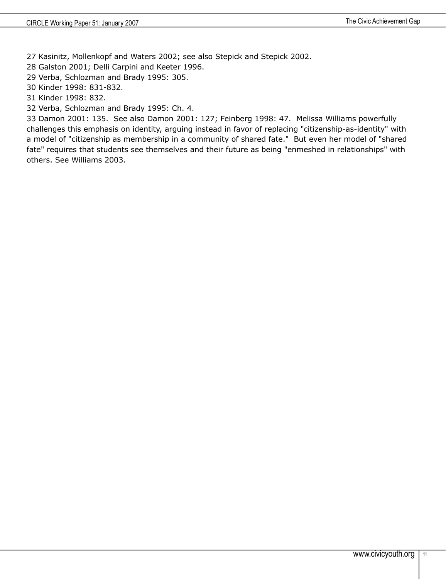27 Kasinitz, Mollenkopf and Waters 2002; see also Stepick and Stepick 2002.

28 Galston 2001; Delli Carpini and Keeter 1996.

29 Verba, Schlozman and Brady 1995: 305.

30 Kinder 1998: 831-832.

31 Kinder 1998: 832.

32 Verba, Schlozman and Brady 1995: Ch. 4.

33 Damon 2001: 135. See also Damon 2001: 127; Feinberg 1998: 47. Melissa Williams powerfully challenges this emphasis on identity, arguing instead in favor of replacing "citizenship-as-identity" with a model of "citizenship as membership in a community of shared fate." But even her model of "shared fate" requires that students see themselves and their future as being "enmeshed in relationships" with others. See Williams 2003.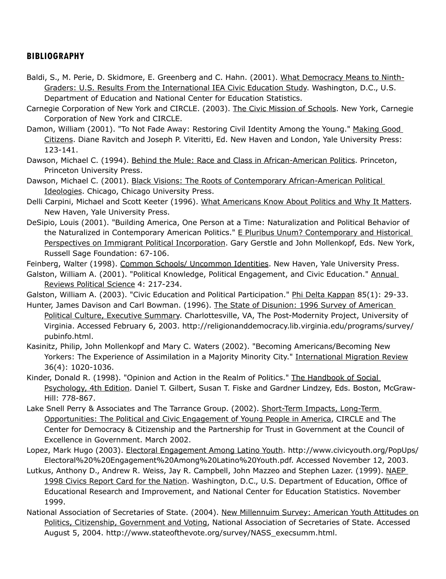### **BIBLIOGRAPHY**

- Baldi, S., M. Perie, D. Skidmore, E. Greenberg and C. Hahn. (2001). What Democracy Means to Ninth-Graders: U.S. Results From the International IEA Civic Education Study. Washington, D.C., U.S. Department of Education and National Center for Education Statistics.
- Carnegie Corporation of New York and CIRCLE. (2003). The Civic Mission of Schools. New York, Carnegie Corporation of New York and CIRCLE.
- Damon, William (2001). "To Not Fade Away: Restoring Civil Identity Among the Young." Making Good Citizens. Diane Ravitch and Joseph P. Viteritti, Ed. New Haven and London, Yale University Press: 123-141.
- Dawson, Michael C. (1994). Behind the Mule: Race and Class in African-American Politics. Princeton, Princeton University Press.
- Dawson, Michael C. (2001). Black Visions: The Roots of Contemporary African-American Political Ideologies. Chicago, Chicago University Press.
- Delli Carpini, Michael and Scott Keeter (1996). What Americans Know About Politics and Why It Matters. New Haven, Yale University Press.
- DeSipio, Louis (2001). "Building America, One Person at a Time: Naturalization and Political Behavior of the Naturalized in Contemporary American Politics." E Pluribus Unum? Contemporary and Historical Perspectives on Immigrant Political Incorporation. Gary Gerstle and John Mollenkopf, Eds. New York, Russell Sage Foundation: 67-106.
- Feinberg, Walter (1998). Common Schools/ Uncommon Identities. New Haven, Yale University Press.
- Galston, William A. (2001). "Political Knowledge, Political Engagement, and Civic Education." Annual Reviews Political Science 4: 217-234.

Galston, William A. (2003). "Civic Education and Political Participation." Phi Delta Kappan 85(1): 29-33.

- Hunter, James Davison and Carl Bowman. (1996). The State of Disunion: 1996 Survey of American Political Culture, Executive Summary. Charlottesville, VA, The Post-Modernity Project, University of Virginia. Accessed February 6, 2003. http://religionanddemocracy.lib.virginia.edu/programs/survey/ pubinfo.html.
- Kasinitz, Philip, John Mollenkopf and Mary C. Waters (2002). "Becoming Americans/Becoming New Yorkers: The Experience of Assimilation in a Majority Minority City." International Migration Review 36(4): 1020-1036.
- Kinder, Donald R. (1998). "Opinion and Action in the Realm of Politics." The Handbook of Social Psychology, 4th Edition. Daniel T. Gilbert, Susan T. Fiske and Gardner Lindzey, Eds. Boston, McGraw-Hill: 778-867.
- Lake Snell Perry & Associates and The Tarrance Group. (2002). Short-Term Impacts, Long-Term Opportunities: The Political and Civic Engagement of Young People in America, CIRCLE and The Center for Democracy & Citizenship and the Partnership for Trust in Government at the Council of Excellence in Government. March 2002.
- Lopez, Mark Hugo (2003). Electoral Engagement Among Latino Youth. http://www.civicyouth.org/PopUps/ Electoral%20%20Engagement%20Among%20Latino%20Youth.pdf. Accessed November 12, 2003.
- Lutkus, Anthony D., Andrew R. Weiss, Jay R. Campbell, John Mazzeo and Stephen Lazer. (1999). NAEP 1998 Civics Report Card for the Nation. Washington, D.C., U.S. Department of Education, Office of Educational Research and Improvement, and National Center for Education Statistics. November 1999.
- National Association of Secretaries of State. (2004). New Millennuim Survey: American Youth Attitudes on Politics, Citizenship, Government and Voting, National Association of Secretaries of State. Accessed August 5, 2004. http://www.stateofthevote.org/survey/NASS\_execsumm.html.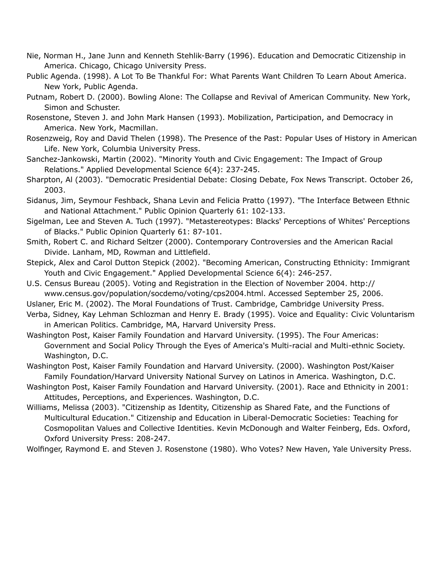- Nie, Norman H., Jane Junn and Kenneth Stehlik-Barry (1996). Education and Democratic Citizenship in America. Chicago, Chicago University Press.
- Public Agenda. (1998). A Lot To Be Thankful For: What Parents Want Children To Learn About America. New York, Public Agenda.
- Putnam, Robert D. (2000). Bowling Alone: The Collapse and Revival of American Community. New York, Simon and Schuster.
- Rosenstone, Steven J. and John Mark Hansen (1993). Mobilization, Participation, and Democracy in America. New York, Macmillan.
- Rosenzweig, Roy and David Thelen (1998). The Presence of the Past: Popular Uses of History in American Life. New York, Columbia University Press.
- Sanchez-Jankowski, Martin (2002). "Minority Youth and Civic Engagement: The Impact of Group Relations." Applied Developmental Science 6(4): 237-245.
- Sharpton, Al (2003). "Democratic Presidential Debate: Closing Debate, Fox News Transcript. October 26, 2003.
- Sidanus, Jim, Seymour Feshback, Shana Levin and Felicia Pratto (1997). "The Interface Between Ethnic and National Attachment." Public Opinion Quarterly 61: 102-133.
- Sigelman, Lee and Steven A. Tuch (1997). "Metastereotypes: Blacks' Perceptions of Whites' Perceptions of Blacks." Public Opinion Quarterly 61: 87-101.
- Smith, Robert C. and Richard Seltzer (2000). Contemporary Controversies and the American Racial Divide. Lanham, MD, Rowman and Littlefield.
- Stepick, Alex and Carol Dutton Stepick (2002). "Becoming American, Constructing Ethnicity: Immigrant Youth and Civic Engagement." Applied Developmental Science 6(4): 246-257.
- U.S. Census Bureau (2005). Voting and Registration in the Election of November 2004. http:// www.census.gov/population/socdemo/voting/cps2004.html. Accessed September 25, 2006.
- Uslaner, Eric M. (2002). The Moral Foundations of Trust. Cambridge, Cambridge University Press.
- Verba, Sidney, Kay Lehman Schlozman and Henry E. Brady (1995). Voice and Equality: Civic Voluntarism in American Politics. Cambridge, MA, Harvard University Press.
- Washington Post, Kaiser Family Foundation and Harvard University. (1995). The Four Americas: Government and Social Policy Through the Eyes of America's Multi-racial and Multi-ethnic Society. Washington, D.C.
- Washington Post, Kaiser Family Foundation and Harvard University. (2000). Washington Post/Kaiser Family Foundation/Harvard University National Survey on Latinos in America. Washington, D.C.
- Washington Post, Kaiser Family Foundation and Harvard University. (2001). Race and Ethnicity in 2001: Attitudes, Perceptions, and Experiences. Washington, D.C.
- Williams, Melissa (2003). "Citizenship as Identity, Citizenship as Shared Fate, and the Functions of Multicultural Education." Citizenship and Education in Liberal-Democratic Societies: Teaching for Cosmopolitan Values and Collective Identities. Kevin McDonough and Walter Feinberg, Eds. Oxford, Oxford University Press: 208-247.
- Wolfinger, Raymond E. and Steven J. Rosenstone (1980). Who Votes? New Haven, Yale University Press.